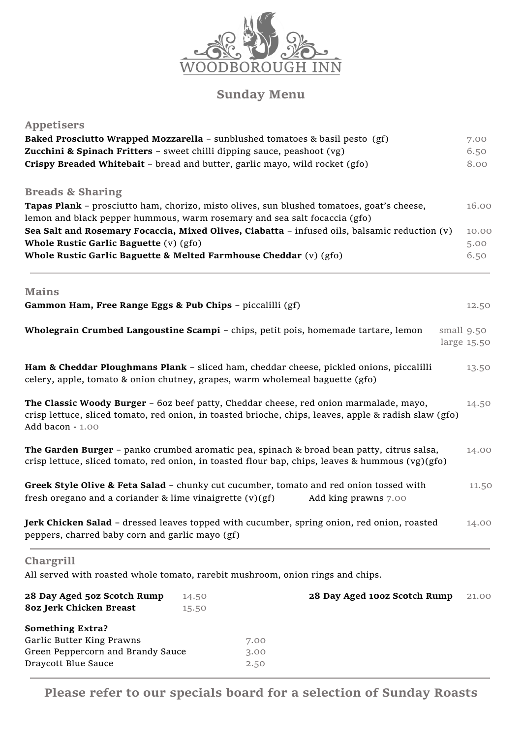

## **Sunday Menu**

| <b>Appetisers</b>                                                              |       |                                                                                                                                                                                                |             |
|--------------------------------------------------------------------------------|-------|------------------------------------------------------------------------------------------------------------------------------------------------------------------------------------------------|-------------|
|                                                                                |       | Baked Prosciutto Wrapped Mozzarella - sunblushed tomatoes & basil pesto (gf)                                                                                                                   | 7.00        |
| Zucchini & Spinach Fritters - sweet chilli dipping sauce, peashoot (vg)        |       |                                                                                                                                                                                                | 6.50        |
| Crispy Breaded Whitebait - bread and butter, garlic mayo, wild rocket (gfo)    |       |                                                                                                                                                                                                | 8.00        |
| <b>Breads &amp; Sharing</b>                                                    |       |                                                                                                                                                                                                |             |
|                                                                                |       | Tapas Plank - prosciutto ham, chorizo, misto olives, sun blushed tomatoes, goat's cheese,                                                                                                      | 16.00       |
| lemon and black pepper hummous, warm rosemary and sea salt focaccia (gfo)      |       |                                                                                                                                                                                                |             |
|                                                                                |       | Sea Salt and Rosemary Focaccia, Mixed Olives, Ciabatta - infused oils, balsamic reduction (v)                                                                                                  | 10.00       |
| Whole Rustic Garlic Baguette (v) (gfo)                                         |       |                                                                                                                                                                                                | 5.00        |
| Whole Rustic Garlic Baguette & Melted Farmhouse Cheddar (v) (gfo)              |       |                                                                                                                                                                                                | 6.50        |
| <b>Mains</b>                                                                   |       |                                                                                                                                                                                                |             |
| Gammon Ham, Free Range Eggs & Pub Chips - piccalilli (gf)                      |       |                                                                                                                                                                                                | 12.50       |
|                                                                                |       | Wholegrain Crumbed Langoustine Scampi - chips, petit pois, homemade tartare, lemon                                                                                                             | small 9.50  |
|                                                                                |       |                                                                                                                                                                                                | large 15.50 |
|                                                                                |       | Ham & Cheddar Ploughmans Plank - sliced ham, cheddar cheese, pickled onions, piccalilli                                                                                                        |             |
| celery, apple, tomato & onion chutney, grapes, warm wholemeal baguette (gfo)   |       |                                                                                                                                                                                                | 13.50       |
|                                                                                |       |                                                                                                                                                                                                |             |
| Add bacon - 1.00                                                               |       | The Classic Woody Burger - 60z beef patty, Cheddar cheese, red onion marmalade, mayo,<br>crisp lettuce, sliced tomato, red onion, in toasted brioche, chips, leaves, apple & radish slaw (gfo) | 14.50       |
|                                                                                |       | The Garden Burger - panko crumbed aromatic pea, spinach & broad bean patty, citrus salsa,<br>crisp lettuce, sliced tomato, red onion, in toasted flour bap, chips, leaves & hummous (vg)(gfo)  | 14.00       |
| fresh oregano and a coriander $&$ lime vinaigrette $(v)(gf)$                   |       | Greek Style Olive & Feta Salad - chunky cut cucumber, tomato and red onion tossed with<br>Add king prawns 7.00                                                                                 | 11.50       |
| peppers, charred baby corn and garlic mayo (gf)                                |       | Jerk Chicken Salad - dressed leaves topped with cucumber, spring onion, red onion, roasted                                                                                                     | 14.00       |
| Chargrill                                                                      |       |                                                                                                                                                                                                |             |
| All served with roasted whole tomato, rarebit mushroom, onion rings and chips. |       |                                                                                                                                                                                                |             |
| 28 Day Aged 50z Scotch Rump                                                    | 14.50 | 28 Day Aged 100z Scotch Rump                                                                                                                                                                   | 21.00       |
| <b>80z Jerk Chicken Breast</b>                                                 | 15.50 |                                                                                                                                                                                                |             |
| <b>Something Extra?</b>                                                        |       |                                                                                                                                                                                                |             |
| Garlic Butter King Prawns                                                      |       | 7.00                                                                                                                                                                                           |             |
| Green Peppercorn and Brandy Sauce                                              |       | 3.00                                                                                                                                                                                           |             |

**Please refer to our specials board for a selection of Sunday Roasts**

Draycott Blue Sauce 2.50